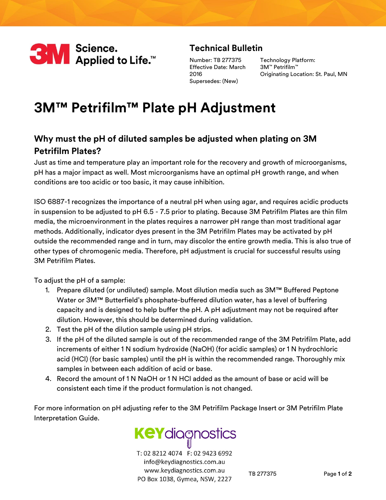

## **Technical Bulletin**

Number: TB 277375 Effective Date: March 2016 Supersedes: (New)

Technology Platform: 3M™ Petrifilm™ Originating Location: St. Paul, MN

## **3M™ Petrifilm™ Plate pH Adjustment**

## **Why must the pH of diluted samples be adjusted when plating on 3M Petrifilm Plates?**

Just as time and temperature play an important role for the recovery and growth of microorganisms, pH has a major impact as well. Most microorganisms have an optimal pH growth range, and when conditions are too acidic or too basic, it may cause inhibition.

ISO 6887-1 recognizes the importance of a neutral pH when using agar, and requires acidic products in suspension to be adjusted to pH 6.5 - 7.5 prior to plating. Because 3M Petrifilm Plates are thin film media, the microenvironment in the plates requires a narrower pH range than most traditional agar methods. Additionally, indicator dyes present in the 3M Petrifilm Plates may be activated by pH outside the recommended range and in turn, may discolor the entire growth media. This is also true of other types of chromogenic media. Therefore, pH adjustment is crucial for successful results using 3M Petrifilm Plates.

To adjust the pH of a sample:

- 1. Prepare diluted (or undiluted) sample. Most dilution media such as 3M™ Buffered Peptone Water or 3M™ Butterfield's phosphate-buffered dilution water, has a level of buffering capacity and is designed to help buffer the pH. A pH adjustment may not be required after dilution. However, this should be determined during validation.
- 2. Test the pH of the dilution sample using pH strips.
- 3. If the pH of the diluted sample is out of the recommended range of the 3M Petrifilm Plate, add increments of either 1 N sodium hydroxide (NaOH) (for acidic samples) or 1 N hydrochloric acid (HCl) (for basic samples) until the pH is within the recommended range. Thoroughly mix samples in between each addition of acid or base.
- 4. Record the amount of 1 N NaOH or 1 N HCl added as the amount of base or acid will be consistent each time if the product formulation is not changed.

For more information on pH adjusting refer to the 3M Petrifilm Package Insert or 3M Petrifilm Plate Interpretation Guide.



T: 02 8212 4074 F: 02 9423 6992 info@keydiagnostics.com.au www.keydiagnostics.com.au PO Box 1038, Gymea, NSW, 2227

TB 277375 Page **1** of **2**